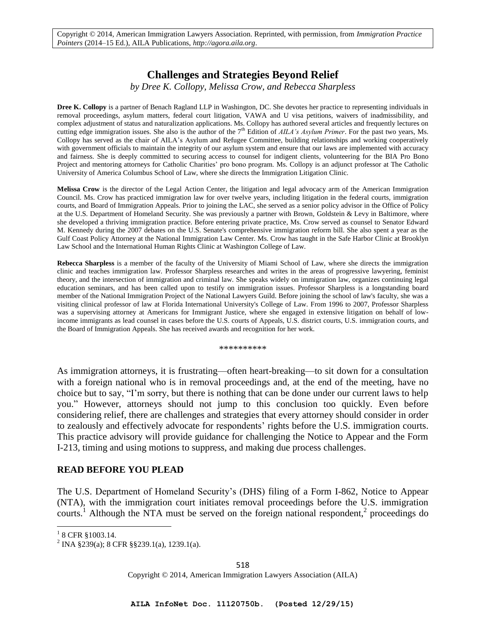# **Challenges and Strategies Beyond Relief**

*by Dree K. Collopy, Melissa Crow, and Rebecca Sharpless* 

**Dree K. Collopy** is a partner of Benach Ragland LLP in Washington, DC. She devotes her practice to representing individuals in removal proceedings, asylum matters, federal court litigation, VAWA and U visa petitions, waivers of inadmissibility, and complex adjustment of status and naturalization applications. Ms. Collopy has authored several articles and frequently lectures on cutting edge immigration issues. She also is the author of the 7th Edition of *AILA's Asylum Primer*. For the past two years, Ms. Collopy has served as the chair of AILA's Asylum and Refugee Committee, building relationships and working cooperatively with government officials to maintain the integrity of our asylum system and ensure that our laws are implemented with accuracy and fairness. She is deeply committed to securing access to counsel for indigent clients, volunteering for the BIA Pro Bono Project and mentoring attorneys for Catholic Charities' pro bono program. Ms. Collopy is an adjunct professor at The Catholic University of America Columbus School of Law, where she directs the Immigration Litigation Clinic.

**Melissa Crow** is the director of the Legal Action Center, the litigation and legal advocacy arm of the American Immigration Council. Ms. Crow has practiced immigration law for over twelve years, including litigation in the federal courts, immigration courts, and Board of Immigration Appeals. Prior to joining the LAC, she served as a senior policy advisor in the Office of Policy at the U.S. Department of Homeland Security. She was previously a partner with Brown, Goldstein & Levy in Baltimore, where she developed a thriving immigration practice. Before entering private practice, Ms. Crow served as counsel to Senator Edward M. Kennedy during the 2007 debates on the U.S. Senate's comprehensive immigration reform bill. She also spent a year as the Gulf Coast Policy Attorney at the National Immigration Law Center. Ms. Crow has taught in the Safe Harbor Clinic at Brooklyn Law School and the International Human Rights Clinic at Washington College of Law.

**Rebecca Sharpless** is a member of the faculty of the University of Miami School of Law, where she directs the immigration clinic and teaches immigration law. Professor Sharpless researches and writes in the areas of progressive lawyering, feminist theory, and the intersection of immigration and criminal law. She speaks widely on immigration law, organizes continuing legal education seminars, and has been called upon to testify on immigration issues. Professor Sharpless is a longstanding board member of the National Immigration Project of the National Lawyers Guild. Before joining the school of law's faculty, she was a visiting clinical professor of law at Florida International University's College of Law. From 1996 to 2007, Professor Sharpless was a supervising attorney at Americans for Immigrant Justice, where she engaged in extensive litigation on behalf of lowincome immigrants as lead counsel in cases before the U.S. courts of Appeals, U.S. district courts, U.S. immigration courts, and the Board of Immigration Appeals. She has received awards and recognition for her work.

\*\*\*\*\*\*\*\*\*\*

As immigration attorneys, it is frustrating—often heart-breaking—to sit down for a consultation with a foreign national who is in removal proceedings and, at the end of the meeting, have no choice but to say, "I'm sorry, but there is nothing that can be done under our current laws to help you." However, attorneys should not jump to this conclusion too quickly. Even before considering relief, there are challenges and strategies that every attorney should consider in order to zealously and effectively advocate for respondents' rights before the U.S. immigration courts. This practice advisory will provide guidance for challenging the Notice to Appear and the Form I-213, timing and using motions to suppress, and making due process challenges.

## **READ BEFORE YOU PLEAD**

The U.S. Department of Homeland Security's (DHS) filing of a Form I-862, Notice to Appear (NTA), with the immigration court initiates removal proceedings before the U.S. immigration courts.<sup>1</sup> Although the NTA must be served on the foreign national respondent,<sup>2</sup> proceedings do

<sup>&</sup>lt;sup>1</sup> 8 CFR §1003.14.

<sup>&</sup>lt;sup>2</sup> INA §239(a); 8 CFR §§239.1(a), 1239.1(a).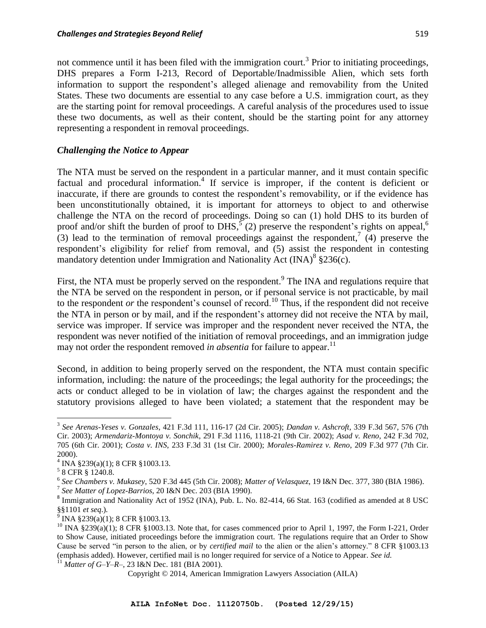not commence until it has been filed with the immigration court.<sup>3</sup> Prior to initiating proceedings, DHS prepares a Form I-213, Record of Deportable/Inadmissible Alien, which sets forth information to support the respondent's alleged alienage and removability from the United States. These two documents are essential to any case before a U.S. immigration court, as they are the starting point for removal proceedings. A careful analysis of the procedures used to issue these two documents, as well as their content, should be the starting point for any attorney representing a respondent in removal proceedings.

### *Challenging the Notice to Appear*

The NTA must be served on the respondent in a particular manner, and it must contain specific factual and procedural information.<sup>4</sup> If service is improper, if the content is deficient or inaccurate, if there are grounds to contest the respondent's removability, or if the evidence has been unconstitutionally obtained, it is important for attorneys to object to and otherwise challenge the NTA on the record of proceedings. Doing so can (1) hold DHS to its burden of proof and/or shift the burden of proof to DHS,  $5(2)$  preserve the respondent's rights on appeal,<sup>6</sup> (3) lead to the termination of removal proceedings against the respondent,<sup>7</sup> (4) preserve the respondent's eligibility for relief from removal, and (5) assist the respondent in contesting mandatory detention under Immigration and Nationality Act  $(INA)^8$  §236(c).

First, the NTA must be properly served on the respondent.<sup>9</sup> The INA and regulations require that the NTA be served on the respondent in person, or if personal service is not practicable, by mail to the respondent *or* the respondent's counsel of record.<sup>10</sup> Thus, if the respondent did not receive the NTA in person or by mail, and if the respondent's attorney did not receive the NTA by mail, service was improper. If service was improper and the respondent never received the NTA, the respondent was never notified of the initiation of removal proceedings, and an immigration judge may not order the respondent removed *in absentia* for failure to appear.<sup>11</sup>

Second, in addition to being properly served on the respondent, the NTA must contain specific information, including: the nature of the proceedings; the legal authority for the proceedings; the acts or conduct alleged to be in violation of law; the charges against the respondent and the statutory provisions alleged to have been violated; a statement that the respondent may be

<sup>3</sup> *See Arenas-Yeses v. Gonzales*, 421 F.3d 111, 116-17 (2d Cir. 2005); *Dandan v. Ashcroft*, 339 F.3d 567, 576 (7th Cir. 2003); *Armendariz-Montoya v. Sonchik*, 291 F.3d 1116, 1118-21 (9th Cir. 2002); *Asad v. Reno*, 242 F.3d 702, 705 (6th Cir. 2001); *Costa v. INS*, 233 F.3d 31 (1st Cir. 2000); *Morales-Ramirez v. Reno*, 209 F.3d 977 (7th Cir. 2000).

<sup>4</sup> INA §239(a)(1); 8 CFR §1003.13.

<sup>5</sup> 8 CFR § 1240.8.

<sup>6</sup> *See Chambers v. Mukasey*, 520 F.3d 445 (5th Cir. 2008); *Matter of Velasquez*, 19 I&N Dec. 377, 380 (BIA 1986). 7 *See Matter of Lopez-Barrios*, 20 I&N Dec. 203 (BIA 1990).

<sup>&</sup>lt;sup>8</sup> Immigration and Nationality Act of 1952 (INA), Pub. L. No. 82-414, 66 Stat. 163 (codified as amended at 8 USC §§1101 *et seq*.).

 $9$  INA  $\S 239(a)(1)$ ; 8 CFR  $\S 1003.13$ .

 $10$  INA §239(a)(1); 8 CFR §1003.13. Note that, for cases commenced prior to April 1, 1997, the Form I-221, Order to Show Cause, initiated proceedings before the immigration court. The regulations require that an Order to Show Cause be served "in person to the alien, or by *certified mail* to the alien or the alien's attorney." 8 CFR §1003.13 (emphasis added). However, certified mail is no longer required for service of a Notice to Appear. *See id.* <sup>11</sup> *Matter of G–Y–R–*, 23 I&N Dec. 181 (BIA 2001).

Copyright © 2014, American Immigration Lawyers Association (AILA)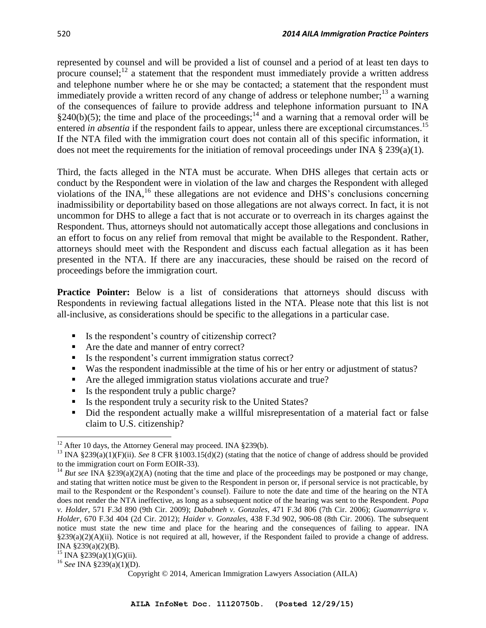represented by counsel and will be provided a list of counsel and a period of at least ten days to procure counsel; $^{12}$  a statement that the respondent must immediately provide a written address and telephone number where he or she may be contacted; a statement that the respondent must immediately provide a written record of any change of address or telephone number;<sup>13</sup> a warning of the consequences of failure to provide address and telephone information pursuant to INA §240(b)(5); the time and place of the proceedings;<sup>14</sup> and a warning that a removal order will be entered *in absentia* if the respondent fails to appear, unless there are exceptional circumstances.<sup>15</sup> If the NTA filed with the immigration court does not contain all of this specific information, it does not meet the requirements for the initiation of removal proceedings under INA  $\S 239(a)(1)$ .

Third, the facts alleged in the NTA must be accurate. When DHS alleges that certain acts or conduct by the Respondent were in violation of the law and charges the Respondent with alleged violations of the INA,<sup>16</sup> these allegations are not evidence and DHS's conclusions concerning inadmissibility or deportability based on those allegations are not always correct. In fact, it is not uncommon for DHS to allege a fact that is not accurate or to overreach in its charges against the Respondent. Thus, attorneys should not automatically accept those allegations and conclusions in an effort to focus on any relief from removal that might be available to the Respondent. Rather, attorneys should meet with the Respondent and discuss each factual allegation as it has been presented in the NTA. If there are any inaccuracies, these should be raised on the record of proceedings before the immigration court.

**Practice Pointer:** Below is a list of considerations that attorneys should discuss with Respondents in reviewing factual allegations listed in the NTA. Please note that this list is not all-inclusive, as considerations should be specific to the allegations in a particular case.

- $\blacksquare$  Is the respondent's country of citizenship correct?
- Are the date and manner of entry correct?
- Is the respondent's current immigration status correct?
- Was the respondent inadmissible at the time of his or her entry or adjustment of status?
- Are the alleged immigration status violations accurate and true?
- Is the respondent truly a public charge?
- Is the respondent truly a security risk to the United States?
- Did the respondent actually make a willful misrepresentation of a material fact or false claim to U.S. citizenship?

<sup>&</sup>lt;sup>12</sup> After 10 days, the Attorney General may proceed. INA §239(b).

<sup>&</sup>lt;sup>13</sup> INA §239(a)(1)(F)(ii). *See* 8 CFR §1003.15(d)(2) (stating that the notice of change of address should be provided to the immigration court on Form EOIR-33).

<sup>&</sup>lt;sup>14</sup> *But see* INA §239(a)(2)(A) (noting that the time and place of the proceedings may be postponed or may change, and stating that written notice must be given to the Respondent in person or, if personal service is not practicable, by mail to the Respondent or the Respondent's counsel). Failure to note the date and time of the hearing on the NTA does not render the NTA ineffective, as long as a subsequent notice of the hearing was sent to the Respondent. *Popa v. Holder*, 571 F.3d 890 (9th Cir. 2009); *Dababneh v. Gonzales*, 471 F.3d 806 (7th Cir. 2006); *Guamanrrigra v. Holder*, 670 F.3d 404 (2d Cir. 2012); *Haider v. Gonzales*, 438 F.3d 902, 906-08 (8th Cir. 2006). The subsequent notice must state the new time and place for the hearing and the consequences of failing to appear. INA §239(a)(2)(A)(ii). Notice is not required at all, however, if the Respondent failed to provide a change of address. INA §239(a)(2)(B).

 $15$  INA §239(a)(1)(G)(ii).

<sup>16</sup> *See* INA §239(a)(1)(D).

Copyright © 2014, American Immigration Lawyers Association (AILA)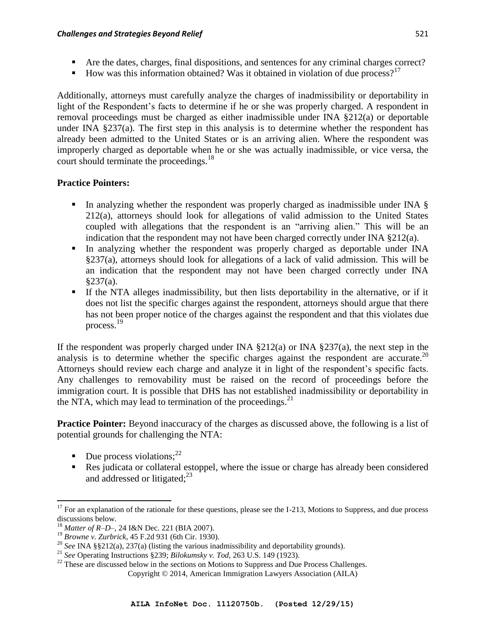- Are the dates, charges, final dispositions, and sentences for any criminal charges correct?
- How was this information obtained? Was it obtained in violation of due process?<sup>17</sup>

Additionally, attorneys must carefully analyze the charges of inadmissibility or deportability in light of the Respondent's facts to determine if he or she was properly charged. A respondent in removal proceedings must be charged as either inadmissible under INA §212(a) or deportable under INA  $\S 237(a)$ . The first step in this analysis is to determine whether the respondent has already been admitted to the United States or is an arriving alien. Where the respondent was improperly charged as deportable when he or she was actually inadmissible, or vice versa, the court should terminate the proceedings.<sup>18</sup>

## **Practice Pointers:**

- In analyzing whether the respondent was properly charged as inadmissible under INA  $\S$ 212(a), attorneys should look for allegations of valid admission to the United States coupled with allegations that the respondent is an "arriving alien." This will be an indication that the respondent may not have been charged correctly under INA  $\S 212(a)$ .
- In analyzing whether the respondent was properly charged as deportable under INA §237(a), attorneys should look for allegations of a lack of valid admission. This will be an indication that the respondent may not have been charged correctly under INA §237(a).
- If the NTA alleges inadmissibility, but then lists deportability in the alternative, or if it does not list the specific charges against the respondent, attorneys should argue that there has not been proper notice of the charges against the respondent and that this violates due process.<sup>19</sup>

If the respondent was properly charged under INA  $\S212(a)$  or INA  $\S237(a)$ , the next step in the analysis is to determine whether the specific charges against the respondent are accurate.<sup>20</sup> Attorneys should review each charge and analyze it in light of the respondent's specific facts. Any challenges to removability must be raised on the record of proceedings before the immigration court. It is possible that DHS has not established inadmissibility or deportability in the NTA, which may lead to termination of the proceedings. $^{21}$ 

**Practice Pointer:** Beyond inaccuracy of the charges as discussed above, the following is a list of potential grounds for challenging the NTA:

- $\blacksquare$  Due process violations;<sup>22</sup>
- Res judicata or collateral estoppel, where the issue or charge has already been considered and addressed or litigated; $^{23}$

 $\overline{\phantom{a}}$  $17$  For an explanation of the rationale for these questions, please see the I-213, Motions to Suppress, and due process discussions below.

<sup>18</sup> *Matter of R–D–*, 24 I&N Dec. 221 (BIA 2007).

<sup>19</sup> *Browne v. Zurbrick*, 45 F.2d 931 (6th Cir. 1930).

<sup>20</sup> *See* INA §§212(a), 237(a) (listing the various inadmissibility and deportability grounds).

<sup>21</sup> *See* Operating Instructions §239; *Bilokumsky v. Tod*, 263 U.S. 149 (1923).

<sup>&</sup>lt;sup>22</sup> These are discussed below in the sections on Motions to Suppress and Due Process Challenges.

Copyright © 2014, American Immigration Lawyers Association (AILA)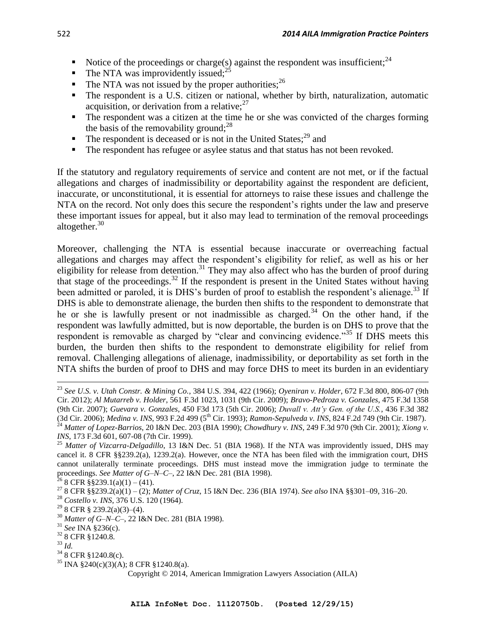- Notice of the proceedings or charge(s) against the respondent was insufficient;<sup>24</sup>
- $\blacksquare$  The NTA was improvidently issued:  $^{25}$
- The NTA was not issued by the proper authorities;  $^{26}$
- The respondent is a U.S. citizen or national, whether by birth, naturalization, automatic acquisition, or derivation from a relative; $27$
- The respondent was a citizen at the time he or she was convicted of the charges forming the basis of the removability ground;  $28$
- $\blacksquare$  The respondent is deceased or is not in the United States;<sup>29</sup> and
- The respondent has refugee or asylee status and that status has not been revoked.

If the statutory and regulatory requirements of service and content are not met, or if the factual allegations and charges of inadmissibility or deportability against the respondent are deficient, inaccurate, or unconstitutional, it is essential for attorneys to raise these issues and challenge the NTA on the record. Not only does this secure the respondent's rights under the law and preserve these important issues for appeal, but it also may lead to termination of the removal proceedings altogether.<sup>30</sup>

Moreover, challenging the NTA is essential because inaccurate or overreaching factual allegations and charges may affect the respondent's eligibility for relief, as well as his or her eligibility for release from detention.<sup>31</sup> They may also affect who has the burden of proof during that stage of the proceedings.<sup>32</sup> If the respondent is present in the United States without having been admitted or paroled, it is DHS's burden of proof to establish the respondent's alienage.<sup>33</sup> If DHS is able to demonstrate alienage, the burden then shifts to the respondent to demonstrate that he or she is lawfully present or not inadmissible as charged.<sup>34</sup> On the other hand, if the respondent was lawfully admitted, but is now deportable, the burden is on DHS to prove that the respondent is removable as charged by "clear and convincing evidence."<sup>35</sup> If DHS meets this burden, the burden then shifts to the respondent to demonstrate eligibility for relief from removal. Challenging allegations of alienage, inadmissibility, or deportability as set forth in the NTA shifts the burden of proof to DHS and may force DHS to meet its burden in an evidentiary

 $26$  8 CFR §§239.1(a)(1) – (41).

- <sup>28</sup> *Costello v. INS*, 376 U.S. 120 (1964).
- $29$  8 CFR § 239.2(a)(3)–(4).
- <sup>30</sup> *Matter of G*–*N*–*C*–, 22 I&N Dec. 281 (BIA 1998).
- <sup>31</sup> *See* INA §236(c).
- <sup>32</sup> 8 CFR §1240.8.
- <sup>33</sup> *Id.*

- <sup>34</sup> 8 CFR §1240.8(c).
- $35$  INA §240(c)(3)(A); 8 CFR §1240.8(a).

<sup>23</sup> *See U.S. v. Utah Constr. & Mining Co.*, 384 U.S. 394, 422 (1966); *Oyeniran v. Holder*, 672 F.3d 800, 806-07 (9th Cir. 2012); *Al Mutarreb v. Holder*, 561 F.3d 1023, 1031 (9th Cir. 2009); *Bravo-Pedroza v. Gonzales*, 475 F.3d 1358 (9th Cir. 2007); *Guevara v. Gonzales*, 450 F3d 173 (5th Cir. 2006); *Duvall v. Att'y Gen. of the U.S.*, 436 F.3d 382 (3d Cir. 2006); *Medina v. INS*, 993 F.2d 499 (5<sup>th</sup> Cir. 1993); *Ramon-Sepulveda v. INS*, 824 F.2d 749 (9th Cir. 1987). <sup>24</sup> *Matter of Lopez-Barrios*, 20 I&N Dec. 203 (BIA 1990); *Chowdhury v. INS*, 249 F.3d 970 (9th Cir. 2001); *Xiong v. INS*, 173 F.3d 601, 607-08 (7th Cir. 1999).

<sup>&</sup>lt;sup>25</sup> Matter of Vizcarra-Delgadillo, 13 I&N Dec. 51 (BIA 1968). If the NTA was improvidently issued, DHS may cancel it. 8 CFR §§239.2(a), 1239.2(a). However, once the NTA has been filed with the immigration court, DHS cannot unilaterally terminate proceedings. DHS must instead move the immigration judge to terminate the proceedings. *See Matter of G*–*N*–*C*–, 22 I&N Dec. 281 (BIA 1998).

<sup>27</sup> 8 CFR §§239.2(a)(1) – (2); *Matter of Cruz*, 15 I&N Dec. 236 (BIA 1974). *See also* INA §§301–09, 316–20.

Copyright © 2014, American Immigration Lawyers Association (AILA)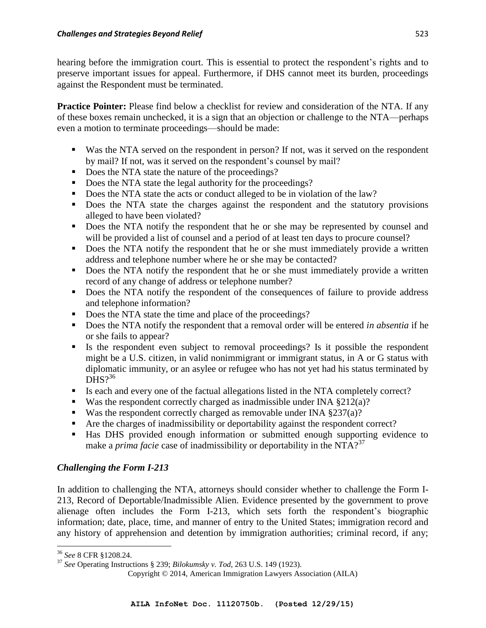hearing before the immigration court. This is essential to protect the respondent's rights and to preserve important issues for appeal. Furthermore, if DHS cannot meet its burden, proceedings against the Respondent must be terminated.

**Practice Pointer:** Please find below a checklist for review and consideration of the NTA. If any of these boxes remain unchecked, it is a sign that an objection or challenge to the NTA—perhaps even a motion to terminate proceedings—should be made:

- Was the NTA served on the respondent in person? If not, was it served on the respondent by mail? If not, was it served on the respondent's counsel by mail?
- Does the NTA state the nature of the proceedings?
- Does the NTA state the legal authority for the proceedings?
- Does the NTA state the acts or conduct alleged to be in violation of the law?
- Does the NTA state the charges against the respondent and the statutory provisions alleged to have been violated?
- Does the NTA notify the respondent that he or she may be represented by counsel and will be provided a list of counsel and a period of at least ten days to procure counsel?
- Does the NTA notify the respondent that he or she must immediately provide a written address and telephone number where he or she may be contacted?
- Does the NTA notify the respondent that he or she must immediately provide a written record of any change of address or telephone number?
- Does the NTA notify the respondent of the consequences of failure to provide address and telephone information?
- Does the NTA state the time and place of the proceedings?
- Does the NTA notify the respondent that a removal order will be entered *in absentia* if he or she fails to appear?
- Is the respondent even subject to removal proceedings? Is it possible the respondent might be a U.S. citizen, in valid nonimmigrant or immigrant status, in A or G status with diplomatic immunity, or an asylee or refugee who has not yet had his status terminated by DHS $2^{36}$
- Is each and every one of the factual allegations listed in the NTA completely correct?
- Was the respondent correctly charged as inadmissible under INA  $\S 212(a)$ ?
- Was the respondent correctly charged as removable under INA  $\S 237(a)$ ?
- Are the charges of inadmissibility or deportability against the respondent correct?
- Has DHS provided enough information or submitted enough supporting evidence to make a *prima facie* case of inadmissibility or deportability in the NTA?<sup>37</sup>

# *Challenging the Form I-213*

In addition to challenging the NTA, attorneys should consider whether to challenge the Form I-213, Record of Deportable/Inadmissible Alien. Evidence presented by the government to prove alienage often includes the Form I-213, which sets forth the respondent's biographic information; date, place, time, and manner of entry to the United States; immigration record and any history of apprehension and detention by immigration authorities; criminal record, if any;

 $\overline{\phantom{a}}$ <sup>36</sup> *See* 8 CFR §1208.24.

<sup>37</sup> *See* Operating Instructions § 239; *Bilokumsky v. Tod*, 263 U.S. 149 (1923).

Copyright © 2014, American Immigration Lawyers Association (AILA)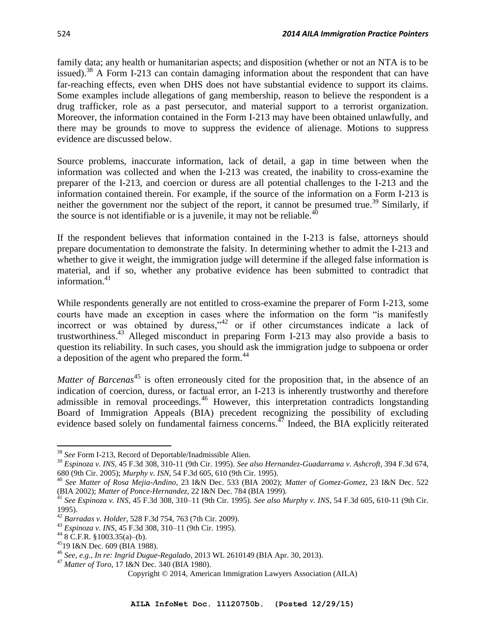family data; any health or humanitarian aspects; and disposition (whether or not an NTA is to be issued).<sup>38</sup> A Form I-213 can contain damaging information about the respondent that can have far-reaching effects, even when DHS does not have substantial evidence to support its claims. Some examples include allegations of gang membership, reason to believe the respondent is a drug trafficker, role as a past persecutor, and material support to a terrorist organization. Moreover, the information contained in the Form I-213 may have been obtained unlawfully, and there may be grounds to move to suppress the evidence of alienage. Motions to suppress evidence are discussed below.

Source problems, inaccurate information, lack of detail, a gap in time between when the information was collected and when the I-213 was created, the inability to cross-examine the preparer of the I-213, and coercion or duress are all potential challenges to the I-213 and the information contained therein. For example, if the source of the information on a Form I-213 is neither the government nor the subject of the report, it cannot be presumed true.<sup>39</sup> Similarly, if the source is not identifiable or is a juvenile, it may not be reliable.<sup>40</sup>

If the respondent believes that information contained in the I-213 is false, attorneys should prepare documentation to demonstrate the falsity. In determining whether to admit the I-213 and whether to give it weight, the immigration judge will determine if the alleged false information is material, and if so, whether any probative evidence has been submitted to contradict that information.<sup>41</sup>

While respondents generally are not entitled to cross-examine the preparer of Form I-213, some courts have made an exception in cases where the information on the form "is manifestly incorrect or was obtained by duress," $42$  or if other circumstances indicate a lack of trustworthiness. <sup>43</sup> Alleged misconduct in preparing Form I-213 may also provide a basis to question its reliability. In such cases, you should ask the immigration judge to subpoena or order a deposition of the agent who prepared the form.<sup>44</sup>

*Matter of Barcenas*<sup>45</sup> is often erroneously cited for the proposition that, in the absence of an indication of coercion, duress, or factual error, an I-213 is inherently trustworthy and therefore admissible in removal proceedings.<sup>46</sup> However, this interpretation contradicts longstanding Board of Immigration Appeals (BIA) precedent recognizing the possibility of excluding evidence based solely on fundamental fairness concerns.<sup> $47$ </sup> Indeed, the BIA explicitly reiterated

<sup>38</sup> *See* Form I-213, Record of Deportable/Inadmissible Alien.

<sup>39</sup> *Espinoza v. INS*, 45 F.3d 308, 310-11 (9th Cir. 1995). *See also Hernandez-Guadarrama v. Ashcroft*, 394 F.3d 674, 680 (9th Cir. 2005); *Murphy v. ISN*, 54 F.3d 605, 610 (9th Cir. 1995).

<sup>40</sup> *See Matter of Rosa Mejia-Andino*, 23 I&N Dec. 533 (BIA 2002); *Matter of Gomez-Gomez*, 23 I&N Dec. 522 (BIA 2002); *Matter of Ponce-Hernandez*, 22 I&N Dec. 784 (BIA 1999).

<sup>41</sup> *See Espinoza v. INS*, 45 F.3d 308, 310–11 (9th Cir. 1995). *See also Murphy v. INS*, 54 F.3d 605, 610-11 (9th Cir. 1995).

<sup>42</sup> *Barradas v. Holder*, 528 F.3d 754, 763 (7th Cir. 2009).

<sup>43</sup> *Espinoza v. INS*, 45 F.3d 308, 310–11 (9th Cir. 1995).

 $448$  C.F.R. §1003.35(a)–(b).

<sup>45</sup>19 I&N Dec. 609 (BIA 1988).

<sup>46</sup> *See, e.g., In re: Ingrid Dugue-Regalado*, 2013 WL 2610149 (BIA Apr. 30, 2013).

<sup>47</sup> *Matter of Toro*, 17 I&N Dec. 340 (BIA 1980).

Copyright © 2014, American Immigration Lawyers Association (AILA)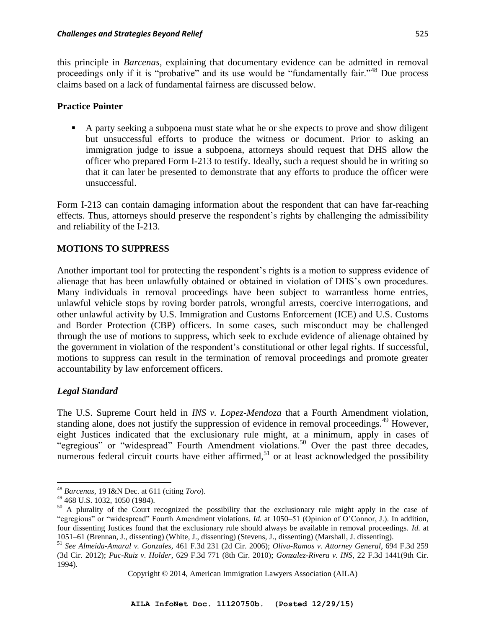this principle in *Barcenas*, explaining that documentary evidence can be admitted in removal proceedings only if it is "probative" and its use would be "fundamentally fair."<sup>48</sup> Due process claims based on a lack of fundamental fairness are discussed below.

### **Practice Pointer**

 A party seeking a subpoena must state what he or she expects to prove and show diligent but unsuccessful efforts to produce the witness or document. Prior to asking an immigration judge to issue a subpoena, attorneys should request that DHS allow the officer who prepared Form I-213 to testify. Ideally, such a request should be in writing so that it can later be presented to demonstrate that any efforts to produce the officer were unsuccessful.

Form I-213 can contain damaging information about the respondent that can have far-reaching effects. Thus, attorneys should preserve the respondent's rights by challenging the admissibility and reliability of the I-213.

# **MOTIONS TO SUPPRESS**

Another important tool for protecting the respondent's rights is a motion to suppress evidence of alienage that has been unlawfully obtained or obtained in violation of DHS's own procedures. Many individuals in removal proceedings have been subject to warrantless home entries, unlawful vehicle stops by roving border patrols, wrongful arrests, coercive interrogations, and other unlawful activity by U.S. Immigration and Customs Enforcement (ICE) and U.S. Customs and Border Protection (CBP) officers. In some cases, such misconduct may be challenged through the use of motions to suppress, which seek to exclude evidence of alienage obtained by the government in violation of the respondent's constitutional or other legal rights. If successful, motions to suppress can result in the termination of removal proceedings and promote greater accountability by law enforcement officers.

## *Legal Standard*

 $\overline{a}$ 

The U.S. Supreme Court held in *INS v. Lopez-Mendoza* that a Fourth Amendment violation, standing alone, does not justify the suppression of evidence in removal proceedings.<sup>49</sup> However, eight Justices indicated that the exclusionary rule might, at a minimum, apply in cases of "egregious" or "widespread" Fourth Amendment violations.<sup>50</sup> Over the past three decades, numerous federal circuit courts have either affirmed,<sup>51</sup> or at least acknowledged the possibility

Copyright © 2014, American Immigration Lawyers Association (AILA)

<sup>48</sup> *Barcenas*, 19 I&N Dec. at 611 (citing *Toro*).

<sup>49</sup> 468 U.S. 1032, 1050 (1984).

<sup>&</sup>lt;sup>50</sup> A plurality of the Court recognized the possibility that the exclusionary rule might apply in the case of "egregious" or "widespread" Fourth Amendment violations. *Id.* at 1050–51 (Opinion of O'Connor, J.). In addition, four dissenting Justices found that the exclusionary rule should always be available in removal proceedings. *Id.* at 1051–61 (Brennan, J., dissenting) (White, J., dissenting) (Stevens, J., dissenting) (Marshall, J. dissenting).

<sup>51</sup> *See Almeida-Amaral v. Gonzales*, 461 F.3d 231 (2d Cir. 2006); *Oliva-Ramos v. Attorney General*, 694 F.3d 259 (3d Cir. 2012); *Puc-Ruiz v. Holder*, 629 F.3d 771 (8th Cir. 2010); *Gonzalez-Rivera v. INS*, 22 F.3d 1441(9th Cir. 1994).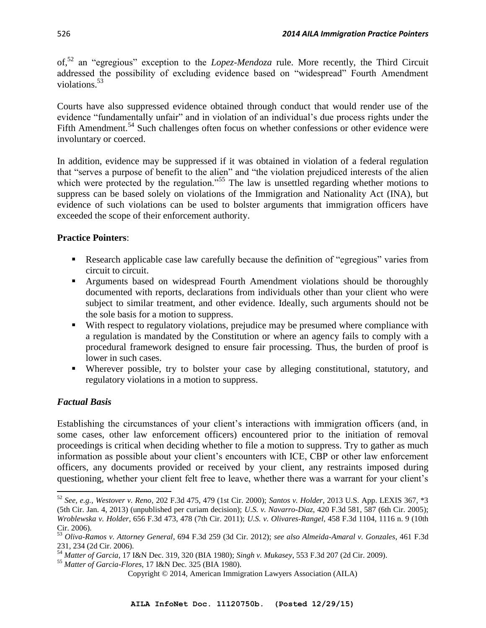of,<sup>52</sup> an "egregious" exception to the *Lopez-Mendoza* rule. More recently, the Third Circuit addressed the possibility of excluding evidence based on "widespread" Fourth Amendment violations.<sup>53</sup>

Courts have also suppressed evidence obtained through conduct that would render use of the evidence "fundamentally unfair" and in violation of an individual's due process rights under the Fifth Amendment.<sup>54</sup> Such challenges often focus on whether confessions or other evidence were involuntary or coerced.

In addition, evidence may be suppressed if it was obtained in violation of a federal regulation that "serves a purpose of benefit to the alien" and "the violation prejudiced interests of the alien which were protected by the regulation."<sup>55</sup> The law is unsettled regarding whether motions to suppress can be based solely on violations of the Immigration and Nationality Act (INA), but evidence of such violations can be used to bolster arguments that immigration officers have exceeded the scope of their enforcement authority.

# **Practice Pointers**:

- Research applicable case law carefully because the definition of "egregious" varies from circuit to circuit.
- Arguments based on widespread Fourth Amendment violations should be thoroughly documented with reports, declarations from individuals other than your client who were subject to similar treatment, and other evidence. Ideally, such arguments should not be the sole basis for a motion to suppress.
- With respect to regulatory violations, prejudice may be presumed where compliance with a regulation is mandated by the Constitution or where an agency fails to comply with a procedural framework designed to ensure fair processing. Thus, the burden of proof is lower in such cases.
- Wherever possible, try to bolster your case by alleging constitutional, statutory, and regulatory violations in a motion to suppress.

# *Factual Basis*

Establishing the circumstances of your client's interactions with immigration officers (and, in some cases, other law enforcement officers) encountered prior to the initiation of removal proceedings is critical when deciding whether to file a motion to suppress. Try to gather as much information as possible about your client's encounters with ICE, CBP or other law enforcement officers, any documents provided or received by your client, any restraints imposed during questioning, whether your client felt free to leave, whether there was a warrant for your client's

 $\overline{\phantom{a}}$ <sup>52</sup> *See, e.g., Westover v. Reno*, 202 F.3d 475, 479 (1st Cir. 2000); *Santos v. Holder*, 2013 U.S. App. LEXIS 367, \*3 (5th Cir. Jan. 4, 2013) (unpublished per curiam decision); *U.S. v. Navarro-Diaz*, 420 F.3d 581, 587 (6th Cir. 2005); *Wroblewska v. Holder*, 656 F.3d 473, 478 (7th Cir. 2011); *U.S. v. Olivares-Rangel*, 458 F.3d 1104, 1116 n. 9 (10th Cir. 2006).

<sup>53</sup> *Oliva-Ramos v. Attorney General*, 694 F.3d 259 (3d Cir. 2012); *see also Almeida-Amaral v. Gonzales*, 461 F.3d 231, 234 (2d Cir. 2006).

<sup>54</sup> *Matter of Garcia*, 17 I&N Dec. 319, 320 (BIA 1980); *Singh v. Mukasey*, 553 F.3d 207 (2d Cir. 2009).

<sup>55</sup> *Matter of Garcia-Flores*, 17 I&N Dec. 325 (BIA 1980).

Copyright © 2014, American Immigration Lawyers Association (AILA)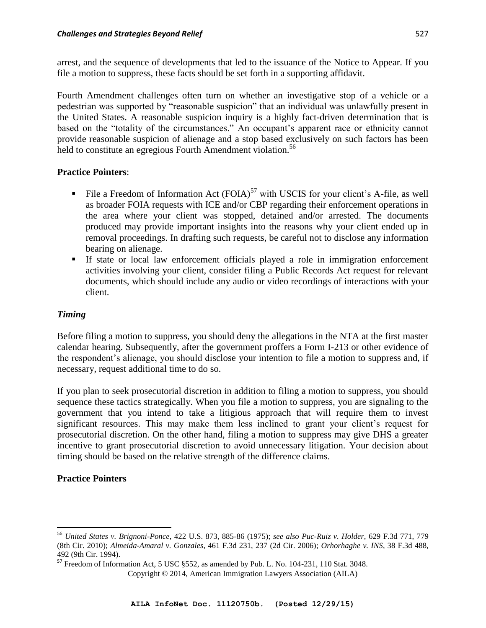arrest, and the sequence of developments that led to the issuance of the Notice to Appear. If you file a motion to suppress, these facts should be set forth in a supporting affidavit.

Fourth Amendment challenges often turn on whether an investigative stop of a vehicle or a pedestrian was supported by "reasonable suspicion" that an individual was unlawfully present in the United States. A reasonable suspicion inquiry is a highly fact-driven determination that is based on the "totality of the circumstances." An occupant's apparent race or ethnicity cannot provide reasonable suspicion of alienage and a stop based exclusively on such factors has been held to constitute an egregious Fourth Amendment violation.<sup>56</sup>

# **Practice Pointers**:

- File a Freedom of Information Act  $(FOIA)^{57}$  with USCIS for your client's A-file, as well as broader FOIA requests with ICE and/or CBP regarding their enforcement operations in the area where your client was stopped, detained and/or arrested. The documents produced may provide important insights into the reasons why your client ended up in removal proceedings. In drafting such requests, be careful not to disclose any information bearing on alienage.
- If state or local law enforcement officials played a role in immigration enforcement activities involving your client, consider filing a Public Records Act request for relevant documents, which should include any audio or video recordings of interactions with your client.

# *Timing*

Before filing a motion to suppress, you should deny the allegations in the NTA at the first master calendar hearing. Subsequently, after the government proffers a Form I-213 or other evidence of the respondent's alienage, you should disclose your intention to file a motion to suppress and, if necessary, request additional time to do so.

If you plan to seek prosecutorial discretion in addition to filing a motion to suppress, you should sequence these tactics strategically. When you file a motion to suppress, you are signaling to the government that you intend to take a litigious approach that will require them to invest significant resources. This may make them less inclined to grant your client's request for prosecutorial discretion. On the other hand, filing a motion to suppress may give DHS a greater incentive to grant prosecutorial discretion to avoid unnecessary litigation. Your decision about timing should be based on the relative strength of the difference claims.

# **Practice Pointers**

 $\overline{\phantom{a}}$ <sup>56</sup> *United States v. Brignoni-Ponce*, 422 U.S. 873, 885-86 (1975); *see also Puc-Ruiz v. Holder*, 629 F.3d 771, 779 (8th Cir. 2010); *Almeida-Amaral v. Gonzales*, 461 F.3d 231, 237 (2d Cir. 2006); *Orhorhaghe v. INS*, 38 F.3d 488, 492 (9th Cir. 1994).

 $\frac{57}{57}$  Freedom of Information Act, 5 USC §552, as amended by Pub. L. No. 104-231, 110 Stat. 3048.

Copyright © 2014, American Immigration Lawyers Association (AILA)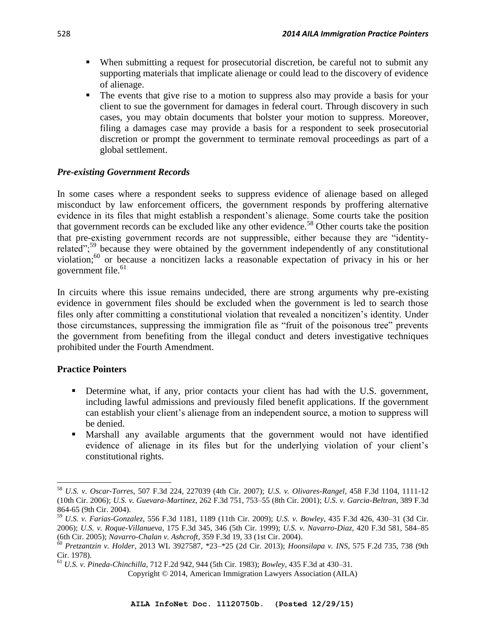- When submitting a request for prosecutorial discretion, be careful not to submit any supporting materials that implicate alienage or could lead to the discovery of evidence of alienage.
- The events that give rise to a motion to suppress also may provide a basis for your client to sue the government for damages in federal court. Through discovery in such cases, you may obtain documents that bolster your motion to suppress. Moreover, filing a damages case may provide a basis for a respondent to seek prosecutorial discretion or prompt the government to terminate removal proceedings as part of a global settlement.

# *Pre-existing Government Records*

In some cases where a respondent seeks to suppress evidence of alienage based on alleged misconduct by law enforcement officers, the government responds by proffering alternative evidence in its files that might establish a respondent's alienage. Some courts take the position that government records can be excluded like any other evidence.<sup>58</sup> Other courts take the position that pre-existing government records are not suppressible, either because they are "identityrelated";<sup>59</sup> because they were obtained by the government independently of any constitutional violation;<sup>60</sup> or because a noncitizen lacks a reasonable expectation of privacy in his or her government file. $61$ 

In circuits where this issue remains undecided, there are strong arguments why pre-existing evidence in government files should be excluded when the government is led to search those files only after committing a constitutional violation that revealed a noncitizen's identity. Under those circumstances, suppressing the immigration file as "fruit of the poisonous tree" prevents the government from benefiting from the illegal conduct and deters investigative techniques prohibited under the Fourth Amendment.

## **Practice Pointers**

 $\overline{a}$ 

- Determine what, if any, prior contacts your client has had with the U.S. government, including lawful admissions and previously filed benefit applications. If the government can establish your client's alienage from an independent source, a motion to suppress will be denied.
- Marshall any available arguments that the government would not have identified evidence of alienage in its files but for the underlying violation of your client's constitutional rights.

<sup>58</sup> *U.S. v. Oscar-Torres*, 507 F.3d 224, 227039 (4th Cir. 2007); *U.S. v. Olivares-Rangel*, 458 F.3d 1104, 1111-12 (10th Cir. 2006); *U.S. v. Guevara-Martinez*, 262 F.3d 751, 753–55 (8th Cir. 2001); *U.S. v. Garcia-Beltran*, 389 F.3d 864-65 (9th Cir. 2004).

<sup>59</sup> *U.S. v. Farias-Gonzalez*, 556 F.3d 1181, 1189 (11th Cir. 2009); *U.S. v. Bowley*, 435 F.3d 426, 430–31 (3d Cir. 2006); *U.S. v. Roque-Villanueva*, 175 F.3d 345, 346 (5th Cir. 1999); *U.S. v. Navarro-Diaz*, 420 F.3d 581, 584–85 (6th Cir. 2005); *Navarro-Chalan v. Ashcroft*, 359 F.3d 19, 33 (1st Cir. 2004).

<sup>60</sup> *Pretzantzin v. Holder*, 2013 WL 3927587, \*23–\*25 (2d Cir. 2013); *Hoonsilapa v. INS*, 575 F.2d 735, 738 (9th Cir. 1978).

<sup>61</sup> *U.S. v. Pineda-Chinchilla*, 712 F.2d 942, 944 (5th Cir. 1983); *Bowley*, 435 F.3d at 430–31.

Copyright © 2014, American Immigration Lawyers Association (AILA)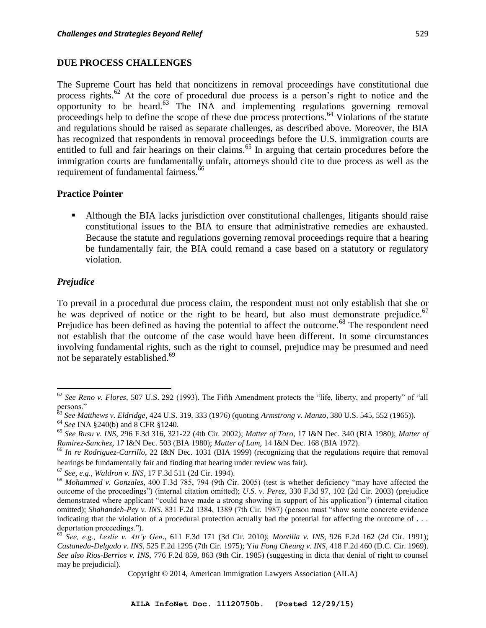#### **DUE PROCESS CHALLENGES**

The Supreme Court has held that noncitizens in removal proceedings have constitutional due process rights.<sup>62</sup> At the core of procedural due process is a person's right to notice and the opportunity to be heard.<sup>63</sup> The INA and implementing regulations governing removal proceedings help to define the scope of these due process protections.<sup>64</sup> Violations of the statute and regulations should be raised as separate challenges, as described above. Moreover, the BIA has recognized that respondents in removal proceedings before the U.S. immigration courts are entitled to full and fair hearings on their claims.<sup>65</sup> In arguing that certain procedures before the immigration courts are fundamentally unfair, attorneys should cite to due process as well as the requirement of fundamental fairness.<sup>66</sup>

#### **Practice Pointer**

 Although the BIA lacks jurisdiction over constitutional challenges, litigants should raise constitutional issues to the BIA to ensure that administrative remedies are exhausted. Because the statute and regulations governing removal proceedings require that a hearing be fundamentally fair, the BIA could remand a case based on a statutory or regulatory violation.

#### *Prejudice*

 $\overline{a}$ 

To prevail in a procedural due process claim, the respondent must not only establish that she or he was deprived of notice or the right to be heard, but also must demonstrate prejudice.<sup>67</sup> Prejudice has been defined as having the potential to affect the outcome.<sup>68</sup> The respondent need not establish that the outcome of the case would have been different. In some circumstances involving fundamental rights, such as the right to counsel, prejudice may be presumed and need not be separately established.<sup>69</sup>

<sup>62</sup> *See Reno v. Flores*, 507 U.S. 292 (1993). The Fifth Amendment protects the "life, liberty, and property" of "all persons."

<sup>63</sup> *See Matthews v. Eldridge*, 424 U.S. 319, 333 (1976) (quoting *Armstrong v. Manzo*, 380 U.S. 545, 552 (1965)).

<sup>64</sup> *See* INA §240(b) and 8 CFR §1240.

<sup>65</sup> *See Rusu v. INS*, 296 F.3d 316, 321-22 (4th Cir. 2002); *Matter of Toro*, 17 I&N Dec. 340 (BIA 1980); *Matter of Ramirez-Sanchez*, 17 I&N Dec. 503 (BIA 1980); *Matter of Lam,* 14 I&N Dec. 168 (BIA 1972).

<sup>&</sup>lt;sup>66</sup> In re Rodriguez-Carrillo, 22 I&N Dec. 1031 (BIA 1999) (recognizing that the regulations require that removal hearings be fundamentally fair and finding that hearing under review was fair).

<sup>67</sup> *See, e.g., Waldron v. INS*, 17 F.3d 511 (2d Cir. 1994).

<sup>68</sup> *Mohammed v. Gonzales*, 400 F.3d 785, 794 (9th Cir. 2005) (test is whether deficiency "may have affected the outcome of the proceedings") (internal citation omitted); *U.S. v. Perez*, 330 F.3d 97, 102 (2d Cir. 2003) (prejudice demonstrated where applicant "could have made a strong showing in support of his application") (internal citation omitted); *Shahandeh-Pey v. INS*, 831 F.2d 1384, 1389 (7th Cir. 1987) (person must "show some concrete evidence indicating that the violation of a procedural protection actually had the potential for affecting the outcome of . . . deportation proceedings.").

<sup>69</sup> *See, e.g., Leslie v. Att'y Gen*., 611 F.3d 171 (3d Cir. 2010); *Montilla v. INS*, 926 F.2d 162 (2d Cir. 1991); *Castaneda-Delgado v. INS*, 525 F.2d 1295 (7th Cir. 1975); Y*iu Fong Cheung v. INS*, 418 F.2d 460 (D.C. Cir. 1969). *See also Rios-Berrios v. INS*, 776 F.2d 859, 863 (9th Cir. 1985) (suggesting in dicta that denial of right to counsel may be prejudicial).

Copyright © 2014, American Immigration Lawyers Association (AILA)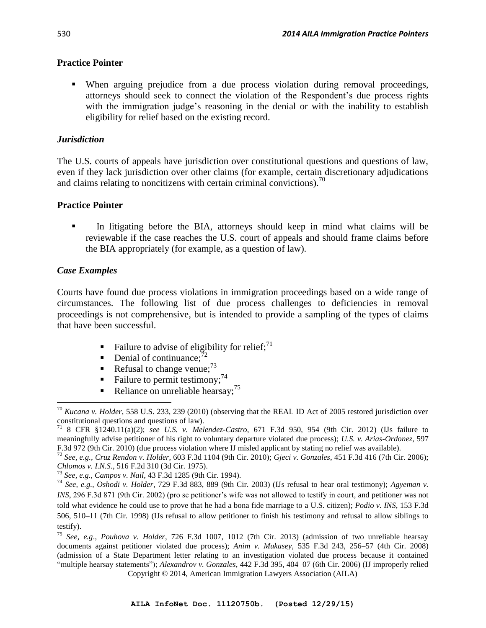## **Practice Pointer**

 When arguing prejudice from a due process violation during removal proceedings, attorneys should seek to connect the violation of the Respondent's due process rights with the immigration judge's reasoning in the denial or with the inability to establish eligibility for relief based on the existing record.

# *Jurisdiction*

The U.S. courts of appeals have jurisdiction over constitutional questions and questions of law, even if they lack jurisdiction over other claims (for example, certain discretionary adjudications and claims relating to noncitizens with certain criminal convictions).<sup>70</sup>

# **Practice Pointer**

 In litigating before the BIA, attorneys should keep in mind what claims will be reviewable if the case reaches the U.S. court of appeals and should frame claims before the BIA appropriately (for example, as a question of law).

# *Case Examples*

Courts have found due process violations in immigration proceedings based on a wide range of circumstances. The following list of due process challenges to deficiencies in removal proceedings is not comprehensive, but is intended to provide a sampling of the types of claims that have been successful.

- Failure to advise of eligibility for relief;<sup>71</sup>
- Denial of continuance;  $^{72}$
- Refusal to change venue;  $73$
- Failure to permit testimony;  $74$
- Reliance on unreliable hearsay;  $^{75}$

 $\overline{\phantom{a}}$ <sup>70</sup> *Kucana v. Holder*, 558 U.S. 233, 239 (2010) (observing that the REAL ID Act of 2005 restored jurisdiction over constitutional questions and questions of law).

<sup>71</sup> 8 CFR §1240.11(a)(2); *see U.S. v. Melendez-Castro*, 671 F.3d 950, 954 (9th Cir. 2012) (IJs failure to meaningfully advise petitioner of his right to voluntary departure violated due process); *U.S. v. Arias-Ordonez*, 597 F.3d 972 (9th Cir. 2010) (due process violation where IJ misled applicant by stating no relief was available).

<sup>72</sup> *See, e.g., Cruz Rendon v. Holder*, 603 F.3d 1104 (9th Cir. 2010); *Gjeci v. Gonzales*, 451 F.3d 416 (7th Cir. 2006); *Chlomos v. I.N.S.*, 516 F.2d 310 (3d Cir. 1975).

<sup>73</sup> *See, e.g., Campos v. Nail*, 43 F.3d 1285 (9th Cir. 1994).

<sup>74</sup> *See, e.g., Oshodi v. Holder*, 729 F.3d 883, 889 (9th Cir. 2003) (IJs refusal to hear oral testimony); *Agyeman v. INS*, 296 F.3d 871 (9th Cir. 2002) (pro se petitioner's wife was not allowed to testify in court, and petitioner was not told what evidence he could use to prove that he had a bona fide marriage to a U.S. citizen); *Podio v. INS*, 153 F.3d 506, 510–11 (7th Cir. 1998) (IJs refusal to allow petitioner to finish his testimony and refusal to allow siblings to testify).

<sup>75</sup> *See, e.g*., *Pouhova v. Holder*, 726 F.3d 1007, 1012 (7th Cir. 2013) (admission of two unreliable hearsay documents against petitioner violated due process); *Anim v. Mukasey*, 535 F.3d 243, 256–57 (4th Cir. 2008) (admission of a State Department letter relating to an investigation violated due process because it contained "multiple hearsay statements"); *Alexandrov v. Gonzales*, 442 F.3d 395, 404–07 (6th Cir. 2006) (IJ improperly relied

Copyright © 2014, American Immigration Lawyers Association (AILA)